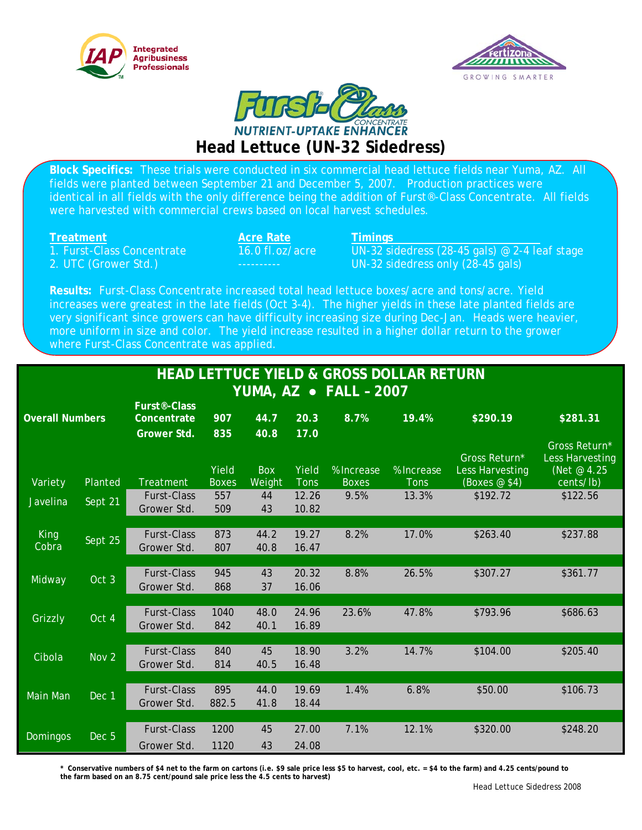





**Block Specifics:** These trials were conducted in six commercial head lettuce fields near Yuma, AZ. All fields were planted between September 21 and December 5, 2007. Production practices were identical in all fields with the only difference being the addition of Furst®-Class Concentrate. All fields were harvested with commercial crews based on local harvest schedules.

**Treatment**<br> **Acre Rate Timings**<br> **Transformational Concentrate Acceleration**<br> **Acre Concentrate Theory**<br> **Acre Concentrate Concentrate Theory** 

16.0 fl.oz/acre UN-32 sidedress (28-45 gals) @ 2-4 leaf stage 2. UTC (Grower Std.) ---------- UN-32 sidedress only (28-45 gals)

**Results:** Furst-Class Concentrate increased total head lettuce boxes/acre and tons/acre. Yield increases were greatest in the late fields (Oct 3-4). The higher yields in these late planted fields are very significant since growers can have difficulty increasing size during Dec-Jan. Heads were heavier, more uniform in size and color. The yield increase resulted in a higher dollar return to the grower where Furst-Class Concentrate was applied.

| <b>HEAD LETTUCE YIELD &amp; GROSS DOLLAR RETURN</b> |                  |                                          |                              |                              |                       |                            |                           |                                                          |                                                              |
|-----------------------------------------------------|------------------|------------------------------------------|------------------------------|------------------------------|-----------------------|----------------------------|---------------------------|----------------------------------------------------------|--------------------------------------------------------------|
| YUMA, AZ • FALL - 2007                              |                  |                                          |                              |                              |                       |                            |                           |                                                          |                                                              |
| <b>Overall Numbers</b>                              |                  | Furst <sup>®</sup> -Class<br>Concentrate | 907                          | 44.7                         | 20.3                  | 8.7%                       | 19.4%                     | \$290.19                                                 | \$281.31                                                     |
| Variety                                             | Planted          | <b>Grower Std.</b><br><b>Treatment</b>   | 835<br>Yield<br><b>Boxes</b> | 40.8<br><b>Box</b><br>Weight | 17.0<br>Yield<br>Tons | % Increase<br><b>Boxes</b> | % Increase<br><b>Tons</b> | Gross Return*<br><b>Less Harvesting</b><br>(Boxes $@$4)$ | Gross Return*<br>Less Harvesting<br>(Net @ 4.25<br>cents/lb) |
| <b>Javelina</b>                                     | Sept 21          | <b>Furst-Class</b><br>Grower Std.        | 557<br>509                   | 44<br>43                     | 12.26<br>10.82        | 9.5%                       | 13.3%                     | \$192.72                                                 | \$122.56                                                     |
| <b>King</b><br>Cobra                                | Sept 25          | <b>Furst-Class</b><br>Grower Std.        | 873<br>807                   | 44.2<br>40.8                 | 19.27<br>16.47        | 8.2%                       | 17.0%                     | \$263.40                                                 | \$237.88                                                     |
| Midway                                              | Oct 3            | <b>Furst-Class</b><br>Grower Std.        | 945<br>868                   | 43<br>37                     | 20.32<br>16.06        | 8.8%                       | 26.5%                     | \$307.27                                                 | \$361.77                                                     |
| Grizzly                                             | Oct 4            | <b>Furst-Class</b><br>Grower Std.        | 1040<br>842                  | 48.0<br>40.1                 | 24.96<br>16.89        | 23.6%                      | 47.8%                     | \$793.96                                                 | \$686.63                                                     |
| Cibola                                              | Nov <sub>2</sub> | <b>Furst-Class</b><br>Grower Std.        | 840<br>814                   | 45<br>40.5                   | 18.90<br>16.48        | 3.2%                       | 14.7%                     | \$104.00                                                 | \$205.40                                                     |
| <b>Main Man</b>                                     | Dec 1            | <b>Furst-Class</b><br>Grower Std.        | 895<br>882.5                 | 44.0<br>41.8                 | 19.69<br>18.44        | 1.4%                       | 6.8%                      | \$50.00                                                  | \$106.73                                                     |
| <b>Domingos</b>                                     | Dec <sub>5</sub> | <b>Furst-Class</b><br>Grower Std.        | 1200<br>1120                 | 45<br>43                     | 27.00<br>24.08        | 7.1%                       | 12.1%                     | \$320.00                                                 | \$248.20                                                     |

**\* Conservative numbers of \$4 net to the farm on cartons (i.e. \$9 sale price less \$5 to harvest, cool, etc. = \$4 to the farm) and 4.25 cents/pound to the farm based on an 8.75 cent/pound sale price less the 4.5 cents to harvest)**